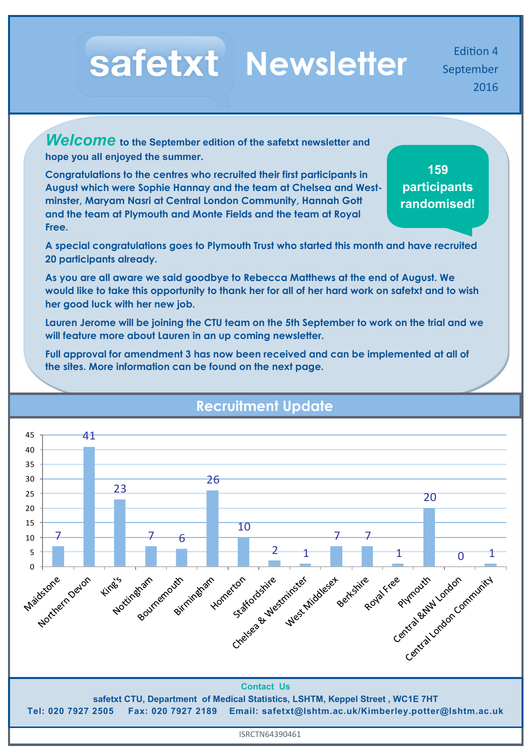# Safetxt Newsletter **Edition 4**

September 2016

*Welcome* **to the September edition of the safetxt newsletter and hope you all enjoyed the summer.** 

**Congratulations to the centres who recruited their first participants in August which were Sophie Hannay and the team at Chelsea and Westminster, Maryam Nasri at Central London Community, Hannah Gott and the team at Plymouth and Monte Fields and the team at Royal Free.** 

**159 participants randomised!**

**A special congratulations goes to Plymouth Trust who started this month and have recruited 20 participants already.**

**As you are all aware we said goodbye to Rebecca Matthews at the end of August. We would like to take this opportunity to thank her for all of her hard work on safetxt and to wish her good luck with her new job.**

**Lauren Jerome will be joining the CTU team on the 5th September to work on the trial and we will feature more about Lauren in an up coming newsletter.** 

**Full approval for amendment 3 has now been received and can be implemented at all of the sites. More information can be found on the next page.**



# **Recruitment Update**

**Tel: 020 7927 2505 Fax: 020 7927 2189 Email: safetxt@lshtm.ac.uk/Kimberley.potter@lshtm.ac.uk**

ISRCTN64390461